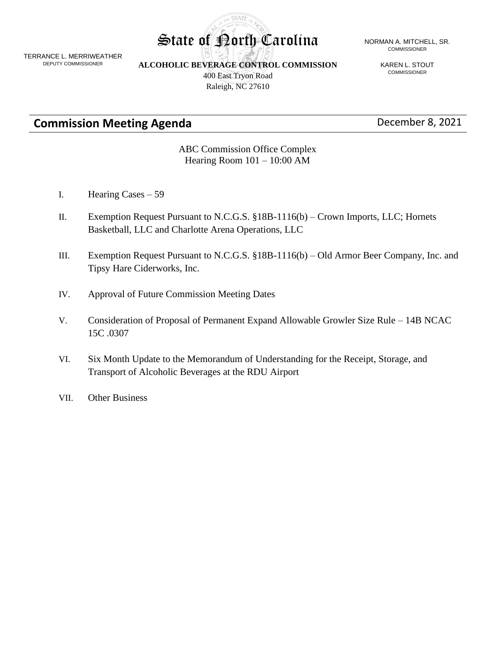TERRANCE L. MERRIWEATHER DEPUTY COMMISSIONER

**ALCOHOLIC BEVERAGE CONTROL COMMISSION**

**STATE** 

400 East Tryon Road Raleigh, NC 27610

#### State of Porth Carolina NORMAN A. MITCHELL, SR. COMMISSIONER

KAREN L. STOUT COMMISSIONER

**Commission Meeting Agenda** December 8, 2021

ABC Commission Office Complex Hearing Room 101 – 10:00 AM

- I. Hearing Cases 59
- II. Exemption Request Pursuant to N.C.G.S. §18B-1116(b) Crown Imports, LLC; Hornets Basketball, LLC and Charlotte Arena Operations, LLC
- III. Exemption Request Pursuant to N.C.G.S. §18B-1116(b) Old Armor Beer Company, Inc. and Tipsy Hare Ciderworks, Inc.
- IV. Approval of Future Commission Meeting Dates
- V. Consideration of Proposal of Permanent Expand Allowable Growler Size Rule 14B NCAC 15C .0307
- VI. Six Month Update to the Memorandum of Understanding for the Receipt, Storage, and Transport of Alcoholic Beverages at the RDU Airport
- VII. Other Business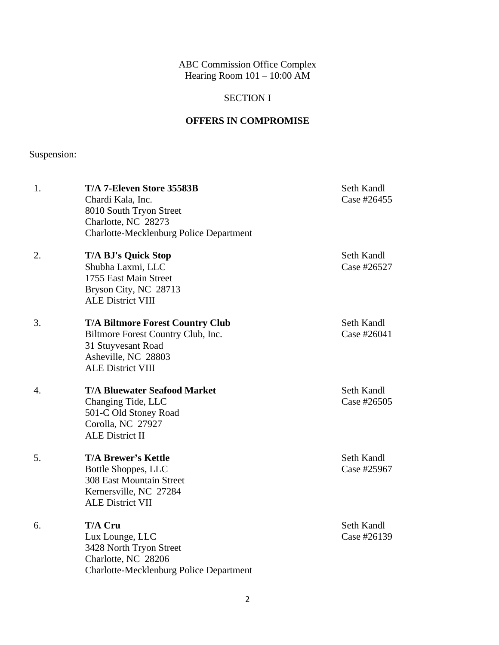ABC Commission Office Complex Hearing Room 101 – 10:00 AM

# SECTION I

# **OFFERS IN COMPROMISE**

Suspension:

| 1. | T/A 7-Eleven Store 35583B<br>Chardi Kala, Inc.<br>8010 South Tryon Street<br>Charlotte, NC 28273<br><b>Charlotte-Mecklenburg Police Department</b>     | Seth Kandl<br>Case #26455 |
|----|--------------------------------------------------------------------------------------------------------------------------------------------------------|---------------------------|
| 2. | <b>T/A BJ's Quick Stop</b><br>Shubha Laxmi, LLC<br>1755 East Main Street<br>Bryson City, NC 28713<br><b>ALE District VIII</b>                          | Seth Kandl<br>Case #26527 |
| 3. | <b>T/A Biltmore Forest Country Club</b><br>Biltmore Forest Country Club, Inc.<br>31 Stuyvesant Road<br>Asheville, NC 28803<br><b>ALE District VIII</b> | Seth Kandl<br>Case #26041 |
| 4. | <b>T/A Bluewater Seafood Market</b><br>Changing Tide, LLC<br>501-C Old Stoney Road<br>Corolla, NC 27927<br><b>ALE District II</b>                      | Seth Kandl<br>Case #26505 |
| 5. | <b>T/A Brewer's Kettle</b><br>Bottle Shoppes, LLC<br>308 East Mountain Street<br>Kernersville, NC 27284<br><b>ALE District VII</b>                     | Seth Kandl<br>Case #25967 |
| 6. | T/A Cru<br>Lux Lounge, LLC<br>3428 North Tryon Street<br>Charlotte, NC 28206<br>Charlotte-Mecklenburg Police Department                                | Seth Kandl<br>Case #26139 |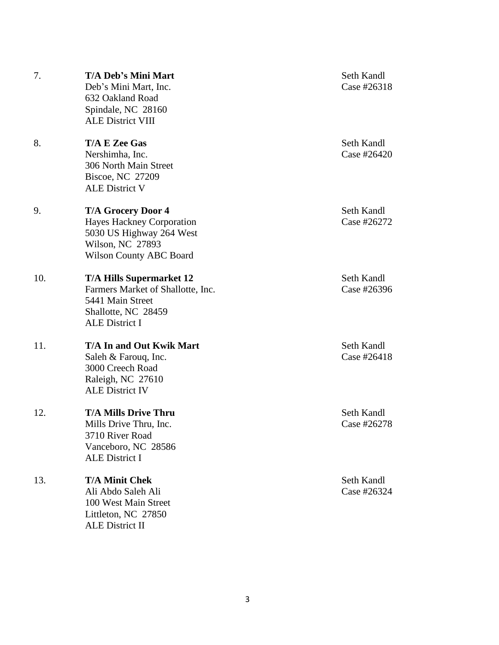| 7.  | <b>T/A Deb's Mini Mart</b><br>Deb's Mini Mart, Inc.<br>632 Oakland Road<br>Spindale, NC 28160<br><b>ALE District VIII</b>                | Seth Kandl<br>Case #26318 |
|-----|------------------------------------------------------------------------------------------------------------------------------------------|---------------------------|
| 8.  | <b>T/A E Zee Gas</b><br>Nershimha, Inc.<br>306 North Main Street<br>Biscoe, NC 27209<br><b>ALE District V</b>                            | Seth Kandl<br>Case #26420 |
| 9.  | <b>T/A Grocery Door 4</b><br>Hayes Hackney Corporation<br>5030 US Highway 264 West<br>Wilson, NC 27893<br><b>Wilson County ABC Board</b> | Seth Kandl<br>Case #26272 |
| 10. | <b>T/A Hills Supermarket 12</b><br>Farmers Market of Shallotte, Inc.<br>5441 Main Street<br>Shallotte, NC 28459<br><b>ALE District I</b> | Seth Kandl<br>Case #26396 |
| 11. | <b>T/A In and Out Kwik Mart</b><br>Saleh & Farouq, Inc.<br>3000 Creech Road<br>Raleigh, NC 27610<br><b>ALE District IV</b>               | Seth Kandl<br>Case #26418 |
| 12. | <b>T/A Mills Drive Thru</b><br>Mills Drive Thru, Inc.<br>3710 River Road<br>Vanceboro, NC 28586<br><b>ALE District I</b>                 | Seth Kandl<br>Case #26278 |
| 13. | <b>T/A Minit Chek</b><br>Ali Abdo Saleh Ali<br>100 West Main Street<br>Littleton, NC 27850<br><b>ALE District II</b>                     | Seth Kandl<br>Case #26324 |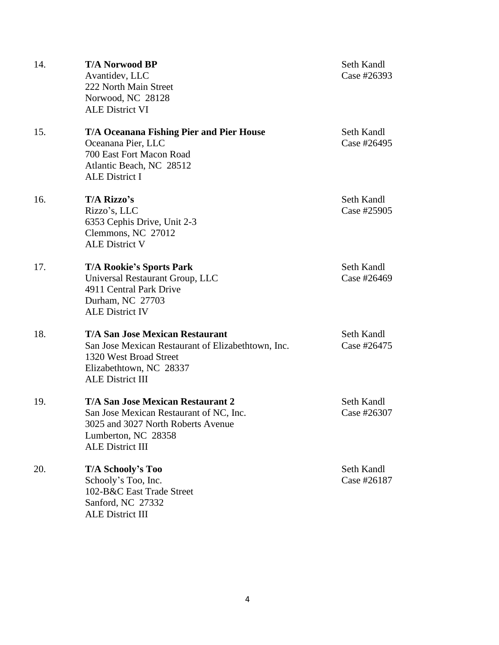| 14. | <b>T/A Norwood BP</b><br>Avantidev, LLC<br>222 North Main Street<br>Norwood, NC 28128<br><b>ALE District VI</b>                                                              | Seth Kandl<br>Case #26393 |
|-----|------------------------------------------------------------------------------------------------------------------------------------------------------------------------------|---------------------------|
| 15. | <b>T/A Oceanana Fishing Pier and Pier House</b><br>Oceanana Pier, LLC<br>700 East Fort Macon Road<br>Atlantic Beach, NC 28512<br><b>ALE District I</b>                       | Seth Kandl<br>Case #26495 |
| 16. | T/A Rizzo's<br>Rizzo's, LLC<br>6353 Cephis Drive, Unit 2-3<br>Clemmons, NC 27012<br><b>ALE District V</b>                                                                    | Seth Kandl<br>Case #25905 |
| 17. | <b>T/A Rookie's Sports Park</b><br>Universal Restaurant Group, LLC<br>4911 Central Park Drive<br>Durham, NC 27703<br><b>ALE District IV</b>                                  | Seth Kandl<br>Case #26469 |
| 18. | <b>T/A San Jose Mexican Restaurant</b><br>San Jose Mexican Restaurant of Elizabethtown, Inc.<br>1320 West Broad Street<br>Elizabethtown, NC 28337<br><b>ALE District III</b> | Seth Kandl<br>Case #26475 |
| 19. | <b>T/A San Jose Mexican Restaurant 2</b><br>San Jose Mexican Restaurant of NC, Inc.<br>3025 and 3027 North Roberts Avenue<br>Lumberton, NC 28358<br><b>ALE District III</b>  | Seth Kandl<br>Case #26307 |
| 20. | T/A Schooly's Too<br>Schooly's Too, Inc.<br>102-B&C East Trade Street<br>Sanford, NC 27332<br><b>ALE District III</b>                                                        | Seth Kandl<br>Case #26187 |

4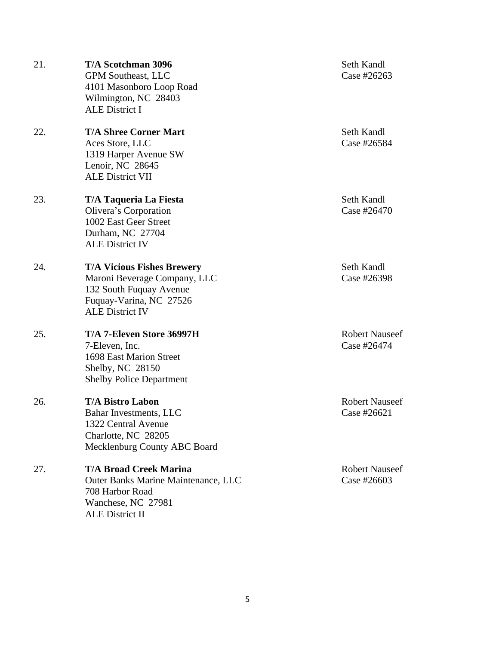| 21. | <b>T/A Scotchman 3096</b><br><b>GPM Southeast, LLC</b><br>4101 Masonboro Loop Road<br>Wilmington, NC 28403<br><b>ALE District I</b>               | Seth Kandl<br>Case #26263            |
|-----|---------------------------------------------------------------------------------------------------------------------------------------------------|--------------------------------------|
| 22. | <b>T/A Shree Corner Mart</b><br>Aces Store, LLC<br>1319 Harper Avenue SW<br>Lenoir, NC 28645<br><b>ALE District VII</b>                           | Seth Kandl<br>Case #26584            |
| 23. | T/A Taqueria La Fiesta<br>Olivera's Corporation<br>1002 East Geer Street<br>Durham, NC 27704<br><b>ALE District IV</b>                            | Seth Kandl<br>Case #26470            |
| 24. | <b>T/A Vicious Fishes Brewery</b><br>Maroni Beverage Company, LLC<br>132 South Fuquay Avenue<br>Fuquay-Varina, NC 27526<br><b>ALE District IV</b> | Seth Kandl<br>Case #26398            |
| 25. | T/A 7-Eleven Store 36997H<br>7-Eleven, Inc.<br>1698 East Marion Street<br>Shelby, NC 28150<br><b>Shelby Police Department</b>                     | <b>Robert Nauseef</b><br>Case #26474 |
| 26. | <b>T/A Bistro Labon</b><br>Bahar Investments, LLC<br>1322 Central Avenue<br>Charlotte, NC 28205<br>Mecklenburg County ABC Board                   | <b>Robert Nauseef</b><br>Case #26621 |
| 27. | <b>T/A Broad Creek Marina</b><br>Outer Banks Marine Maintenance, LLC<br>708 Harbor Road<br>Wanchese, NC 27981<br>ALE District II                  | <b>Robert Nauseef</b><br>Case #26603 |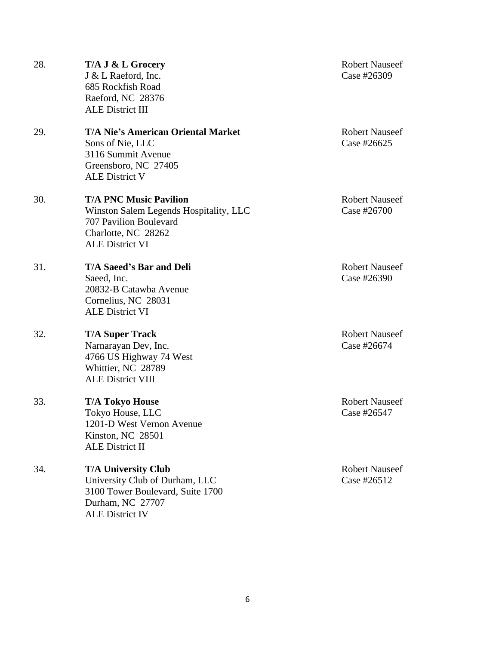| 28. | T/A J & L Grocery<br>J & L Raeford, Inc.<br>685 Rockfish Road<br>Raeford, NC 28376<br><b>ALE District III</b>                                      | <b>Robert Nauseef</b><br>Case #26309 |
|-----|----------------------------------------------------------------------------------------------------------------------------------------------------|--------------------------------------|
| 29. | T/A Nie's American Oriental Market<br>Sons of Nie, LLC<br>3116 Summit Avenue<br>Greensboro, NC 27405<br><b>ALE District V</b>                      | <b>Robert Nauseef</b><br>Case #26625 |
| 30. | <b>T/A PNC Music Pavilion</b><br>Winston Salem Legends Hospitality, LLC<br>707 Pavilion Boulevard<br>Charlotte, NC 28262<br><b>ALE District VI</b> | <b>Robert Nauseef</b><br>Case #26700 |
| 31. | T/A Saeed's Bar and Deli<br>Saeed, Inc.<br>20832-B Catawba Avenue<br>Cornelius, NC 28031<br><b>ALE District VI</b>                                 | <b>Robert Nauseef</b><br>Case #26390 |
| 32. | <b>T/A Super Track</b><br>Narnarayan Dev, Inc.<br>4766 US Highway 74 West<br>Whittier, NC 28789<br><b>ALE District VIII</b>                        | <b>Robert Nauseef</b><br>Case #26674 |
| 33. | <b>T/A Tokyo House</b><br>Tokyo House, LLC<br>1201-D West Vernon Avenue<br>Kinston, NC 28501<br><b>ALE District II</b>                             | <b>Robert Nauseef</b><br>Case #26547 |
| 34. | <b>T/A University Club</b><br>University Club of Durham, LLC<br>3100 Tower Boulevard, Suite 1700<br>Durham, NC 27707<br><b>ALE District IV</b>     | <b>Robert Nauseef</b><br>Case #26512 |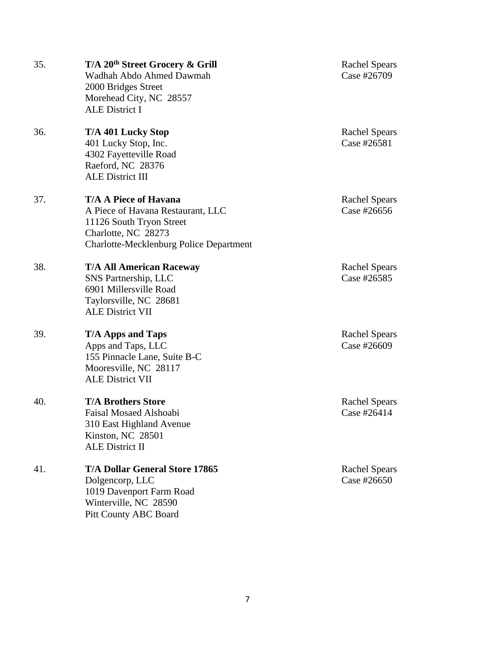| 35. | T/A 20 <sup>th</sup> Street Grocery & Grill<br>Wadhah Abdo Ahmed Dawmah<br>2000 Bridges Street<br>Morehead City, NC 28557<br><b>ALE District I</b>                     | <b>Rachel Spears</b><br>Case #26709 |
|-----|------------------------------------------------------------------------------------------------------------------------------------------------------------------------|-------------------------------------|
| 36. | T/A 401 Lucky Stop<br>401 Lucky Stop, Inc.<br>4302 Fayetteville Road<br>Raeford, NC 28376<br><b>ALE District III</b>                                                   | <b>Rachel Spears</b><br>Case #26581 |
| 37. | <b>T/A A Piece of Havana</b><br>A Piece of Havana Restaurant, LLC<br>11126 South Tryon Street<br>Charlotte, NC 28273<br><b>Charlotte-Mecklenburg Police Department</b> | <b>Rachel Spears</b><br>Case #26656 |
| 38. | <b>T/A All American Raceway</b><br>SNS Partnership, LLC<br>6901 Millersville Road<br>Taylorsville, NC 28681<br><b>ALE District VII</b>                                 | <b>Rachel Spears</b><br>Case #26585 |
| 39. | <b>T/A Apps and Taps</b><br>Apps and Taps, LLC<br>155 Pinnacle Lane, Suite B-C<br>Mooresville, NC 28117<br><b>ALE District VII</b>                                     | <b>Rachel Spears</b><br>Case #26609 |
| 40. | <b>T/A Brothers Store</b><br>Faisal Mosaed Alshoabi<br>310 East Highland Avenue<br>Kinston, NC 28501<br><b>ALE District II</b>                                         | <b>Rachel Spears</b><br>Case #26414 |
| 41. | <b>T/A Dollar General Store 17865</b><br>Dolgencorp, LLC<br>1019 Davenport Farm Road<br>Winterville, NC 28590<br><b>Pitt County ABC Board</b>                          | <b>Rachel Spears</b><br>Case #26650 |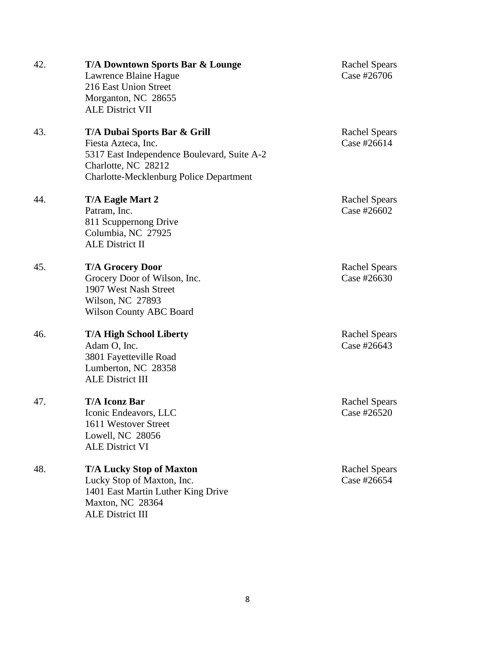| 42. | T/A Downtown Sports Bar & Lounge               |  |
|-----|------------------------------------------------|--|
|     | Lawrence Blaine Hague                          |  |
|     | 216 East Union Street                          |  |
|     | Morganton, NC 28655                            |  |
|     | <b>ALE District VII</b>                        |  |
| 43. | T/A Dubai Sports Bar & Grill                   |  |
|     | Fiesta Azteca, Inc.                            |  |
|     | 5317 East Independence Boulevard, Suite A-2    |  |
|     | Charlotte, NC 28212                            |  |
|     | <b>Charlotte-Mecklenburg Police Department</b> |  |
| 44. | T/A Eagle Mart 2                               |  |
|     | Patram, Inc.                                   |  |
|     | 811 Scuppernong Drive                          |  |
|     | Columbia, NC 27925                             |  |
|     | <b>ALE District II</b>                         |  |
| 45. | <b>T/A Grocery Door</b>                        |  |
|     | Grocery Door of Wilson, Inc.                   |  |
|     | 1907 West Nash Street                          |  |
|     | Wilson, NC 27893                               |  |
|     | <b>Wilson County ABC Board</b>                 |  |
| 46. | <b>T/A High School Liberty</b>                 |  |
|     | Adam O, Inc.                                   |  |
|     | 3801 Fayetteville Road                         |  |
|     | Lumberton, NC 28358                            |  |
|     | <b>ALE District III</b>                        |  |
| 47. | <b>T/A Iconz Bar</b>                           |  |
|     | Iconic Endeavors, LLC                          |  |
|     | 1611 Westover Street                           |  |
|     | Lowell, NC 28056                               |  |
|     | <b>ALE District VI</b>                         |  |
| 48. | <b>T/A Lucky Stop of Maxton</b>                |  |
|     | Lucky Stop of Maxton, Inc.                     |  |
|     | 1401 East Martin Luther King Drive             |  |
|     | Maxton, NC 28364                               |  |
|     | <b>ALE District III</b>                        |  |

### Rachel Spears Case  $#26706$

Rachel Spears Case #26614

Rachel Spears Case #26602

Rachel Spears Case #26630

Rachel Spears Case #26643

Rachel Spears Case  $#26520$ 

Rachel Spears Case  $#26654$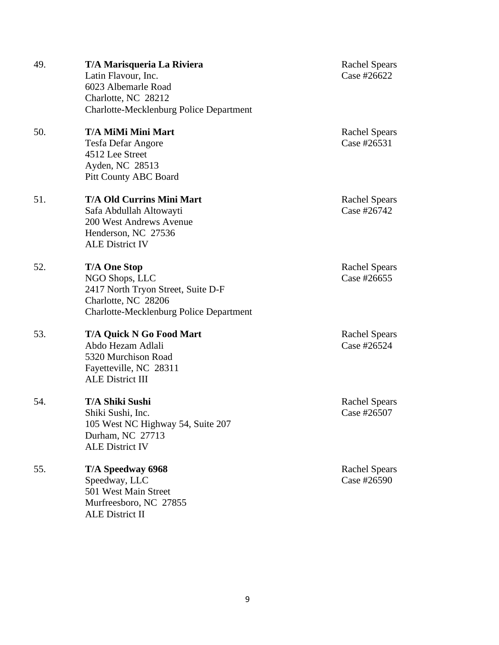| 49. | T/A Marisqueria La Riviera<br>Latin Flavour, Inc.<br>6023 Albemarle Road<br>Charlotte, NC 28212<br><b>Charlotte-Mecklenburg Police Department</b> |
|-----|---------------------------------------------------------------------------------------------------------------------------------------------------|
| 50. | T/A MiMi Mini Mart<br>Tesfa Defar Angore<br>4512 Lee Street<br>Ayden, NC 28513<br><b>Pitt County ABC Board</b>                                    |
| 51. | <b>T/A Old Currins Mini Mart</b><br>Safa Abdullah Altowayti<br>200 West Andrews Avenue<br>Henderson, NC 27536<br><b>ALE District IV</b>           |
| 52. | <b>T/A One Stop</b><br>NGO Shops, LLC<br>2417 North Tryon Street, Suite D-F<br>Charlotte, NC 28206<br>Charlotte-Mecklenburg Police Department     |
| 53. | <b>T/A Quick N Go Food Mart</b><br>Abdo Hezam Adlali<br>5320 Murchison Road<br>Fayetteville, NC 28311<br><b>ALE District III</b>                  |
| 54. | <b>T/A Shiki Sushi</b><br>Shiki Sushi, Inc.<br>105 West NC Highway 54, Suite 207<br>Durham, NC 27713<br><b>ALE District IV</b>                    |
| 55. | T/A Speedway 6968<br>Speedway, LLC<br>501 West Main Street<br>Murfreesboro, NC 27855<br><b>ALE District II</b>                                    |

#### Rachel Spears Case #26622

Rachel Spears Case #26531

Rachel Spears Case  $#26742$ 

Rachel Spears Case #26655

Rachel Spears Case #26524

Rachel Spears Case # $26507$ 

Rachel Spears Case # $26590$